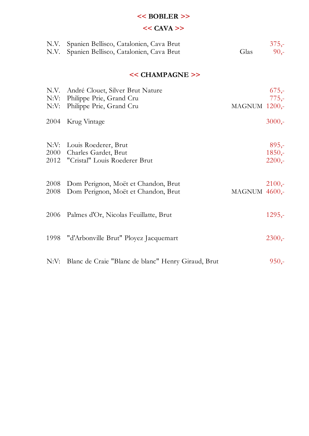#### **<< BOBLER >>**

# **<< CAVA >>**

| N.V.<br>N.V.         | Spanien Bellisco, Catalonien, Cava Brut<br>Spanien Bellisco, Catalonien, Cava Brut       | Glas             | $375,-$<br>$90 -$               |
|----------------------|------------------------------------------------------------------------------------------|------------------|---------------------------------|
|                      | << CHAMPAGNE >>                                                                          |                  |                                 |
| N.V.<br>N:V:<br>N:V: | André Clouet, Silver Brut Nature<br>Philippe Prie, Grand Cru<br>Philippe Prie, Grand Cru | MAGNUM $1200$    | $675,-$<br>$775,-$              |
| 2004                 | Krug Vintage                                                                             |                  | $3000,-$                        |
| N:V:<br>2000<br>2012 | Louis Roederer, Brut<br>Charles Gardet, Brut<br>"Cristal" Louis Roederer Brut            |                  | $895 -$<br>$1850,-$<br>$2200,-$ |
| 2008<br>2008         | Dom Perignon, Moët et Chandon, Brut<br>Dom Perignon, Moët et Chandon, Brut               | MAGNUM $4600$ ,- | $2100 -$                        |
| 2006                 | Palmes d'Or, Nicolas Feuillatte, Brut                                                    |                  | $1295 -$                        |
| 1998                 | "d'Arbonville Brut" Ployez Jacquemart                                                    |                  | $2300,-$                        |
| N:V:                 | Blanc de Craie "Blanc de blanc" Henry Giraud, Brut                                       |                  | $950,-$                         |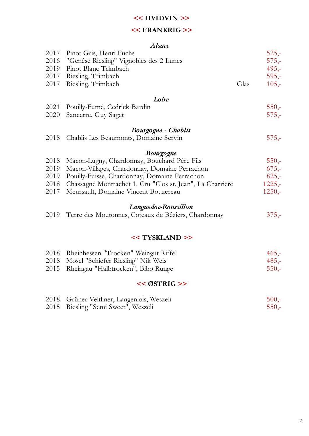#### **<< HVIDVIN >>**

#### **<< FRANKRIG >>**

#### *Alsace*

| 2017 | Pinot Gris, Henri Fuchs                                   |      | $525,-$  |
|------|-----------------------------------------------------------|------|----------|
| 2016 | "Genése Riesling" Vignobles des 2 Lunes                   |      | $575,-$  |
| 2019 | Pinot Blanc Trimbach                                      |      | $495,-$  |
| 2017 | Riesling, Trimbach                                        |      | $595,-$  |
| 2017 | Riesling, Trimbach                                        | Glas | $105,-$  |
|      | Loire                                                     |      |          |
| 2021 | Pouilly-Fumé, Cedrick Bardin                              |      | $550,-$  |
| 2020 | Sancerre, Guy Saget                                       |      | $575,-$  |
|      | Bourgogne - Chablis                                       |      |          |
| 2018 | Chablis Les Beaumonts, Domaine Servin                     |      | $575,-$  |
|      | <b>Bourgogne</b>                                          |      |          |
| 2018 | Macon-Lugny, Chardonnay, Bouchard Pére Fils               |      | $550,-$  |
| 2019 | Macon-Villages, Chardonnay, Domaine Perrachon             |      | $675,-$  |
| 2019 | Pouilly-Fuisse, Chardonnay, Domaine Perrachon             |      | $825,-$  |
| 2018 | Chassagne Montrachet 1. Cru "Clos st. Jean", La Charriere |      | $1225,-$ |
| 2017 | Meursault, Domaine Vincent Bouzereau                      |      | $1250,-$ |
|      | Languedoc-Roussillon                                      |      |          |
|      | 2019 Terre des Moutonnes, Coteaux de Béziers, Chardonnay  |      | $375,-$  |
|      |                                                           |      |          |
|      | << TYSKLAND >>                                            |      |          |
|      |                                                           |      |          |

| 2018 Rheinhessen "Trocken" Weingut Riffel | $465,-$ |
|-------------------------------------------|---------|
| 2018 Mosel "Schiefer Riesling" Nik Weis   | $485 -$ |
| 2015 Rheingau "Halbtrocken", Bibo Runge   | $550 -$ |

#### **<< ØSTRIG >>**

| 2018 Grüner Veltliner, Langenlois, Weszeli | $500 -$ |
|--------------------------------------------|---------|
| 2015 Riesling "Semi Sweet", Weszeli        | $550 -$ |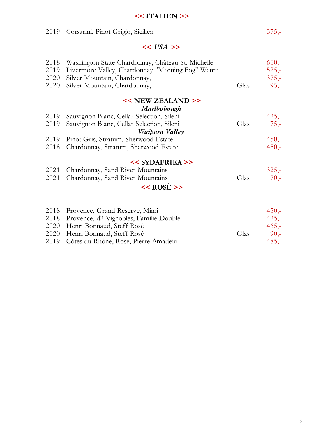#### **<< ITALIEN >>**

| 2019                         | Corsarini, Pinot Grigio, Sicilien                                                                                                                                                                                            |      | $375,-$                                  |
|------------------------------|------------------------------------------------------------------------------------------------------------------------------------------------------------------------------------------------------------------------------|------|------------------------------------------|
|                              | $<<$ USA >>                                                                                                                                                                                                                  |      |                                          |
| 2018<br>2019<br>2020<br>2020 | Washington State Chardonnay, Château St. Michelle<br>Livermore Valley, Chardonnay "Morning Fog" Wente<br>Silver Mountain, Chardonnay,<br>Silver Mountain, Chardonnay,                                                        | Glas | $650 -$<br>$525 -$<br>$375,-$<br>$95,-$  |
| 2019<br>2019<br>2019<br>2018 | << NEW ZEALAND >><br>Marlbobough<br>Sauvignon Blanc, Cellar Selection, Sileni<br>Sauvignon Blanc, Cellar Selection, Sileni<br>Waipara Valley<br>Pinot Gris, Stratum, Sherwood Estate<br>Chardonnay, Stratum, Sherwood Estate | Glas | $425,-$<br>$75,-$<br>$450,-$<br>$450, -$ |
| 2021<br>2021                 | $<<$ SYDAFRIKA >><br>Chardonnay, Sand River Mountains<br>Chardonnay, Sand River Mountains<br>$<<$ ROSE >>                                                                                                                    | Glas | $325,-$<br>$70 -$                        |

| 2018 Provence, Grand Reserve, Mimi          |      | $450 -$ |
|---------------------------------------------|------|---------|
| 2018 Provence, d2 Vignobles, Familie Double |      | $425 -$ |
| 2020 Henri Bonnaud, Steff Rosé              |      | $465 -$ |
| 2020 Henri Bonnaud, Steff Rosé              | Glas | $90 -$  |
| 2019 Côtes du Rhône, Rosé, Pierre Amadeiu   |      | $485 -$ |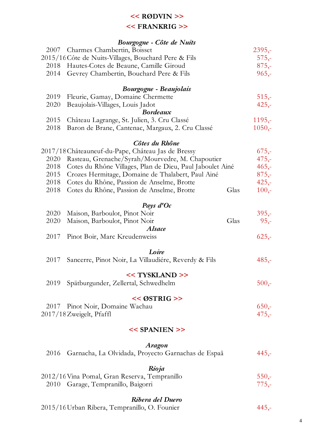# **<< RØDVIN >>**

#### **<< FRANKRIG >>**

|      | Bourgogne - Côte de Nuits                                 |      |          |
|------|-----------------------------------------------------------|------|----------|
| 2007 | Charmes Chambertin, Boisset                               |      | $2395,-$ |
|      | 2015/16 Côte de Nuits-Villages, Bouchard Pere & Fils      |      | $575,-$  |
| 2018 | Hautes-Cotes de Beaune, Camille Giroud                    |      | $875,-$  |
| 2014 | Gevrey Chambertin, Bouchard Pere & Fils                   |      | $965,-$  |
|      | Bourgogne - Beaujolais                                    |      |          |
| 2019 | Fleurie, Gamay, Domaine Chermette                         |      | $515,-$  |
| 2020 | Beaujolais-Villages, Louis Jadot                          |      | $425,-$  |
|      | <b>Bordeaux</b>                                           |      |          |
| 2015 | Château Lagrange, St. Julien, 3. Cru Classé               |      | $1195,-$ |
| 2018 | Baron de Brane, Cantenac, Margaux, 2. Cru Classé          |      | $1050,-$ |
|      | Côtes du Rhône                                            |      |          |
|      | 2017/18 Châteauneuf-du-Pape, Château Jas de Bressy        |      | $675,-$  |
| 2020 | Rasteau, Grenache/Syrah/Mourvedre, M. Chapoutier          |      | $475,-$  |
| 2018 | Cotes du Rhône Villages, Plan de Dieu, Paul Jaboulet Ainé |      | $465,-$  |
| 2015 | Crozes Hermitage, Domaine de Thalabert, Paul Ainé         |      | $875,-$  |
| 2018 | Cotes du Rhône, Passion de Anselme, Brotte                |      | $425,-$  |
| 2018 | Cotes du Rhône, Passion de Anselme, Brotte                | Glas | $100,-$  |
|      |                                                           |      |          |
|      | Pays $d'Oc$                                               |      |          |
| 2020 | Maison, Barboulot, Pinot Noir                             |      | $395 -$  |
| 2020 | Maison, Barboulot, Pinot Noir<br><b>Alsace</b>            | Glas | $95,-$   |
| 2017 | Pinot Boir, Marc Kreudenweiss                             |      | $625,-$  |
|      | Loire                                                     |      |          |
| 2017 | Sancerre, Pinot Noir, La Villaudiére, Reverdy & Fils      |      | $485,-$  |
|      |                                                           |      |          |
|      | << TYSKLAND >>                                            |      |          |
| 2019 | Spätburgunder, Zellertal, Schwedhelm                      |      | $500 -$  |
|      | $<<$ ØSTRIG >>                                            |      |          |
| 2017 | Pinot Noir, Domaine Wachau                                |      | $650,-$  |
|      | 2017/18 Zweigelt, Pfaffl                                  |      | $475,-$  |
|      | $<<$ SPANIEN $>>$                                         |      |          |
|      | Aragon                                                    |      |          |
| 2016 | Garnacha, La Olvidada, Proyecto Garnachas de Espaã        |      | $445,-$  |
|      | Rioja                                                     |      |          |
|      | 2012/16 Vina Pomal, Gran Reserva, Tempranillo             |      | $550,-$  |
| 2010 | Garage, Tempranillo, Baigorri                             |      | $775,-$  |
|      |                                                           |      |          |

#### *Ribera del Duero*

2015/16Urban Ribera, Tempranillo, O. Founier 445,-

4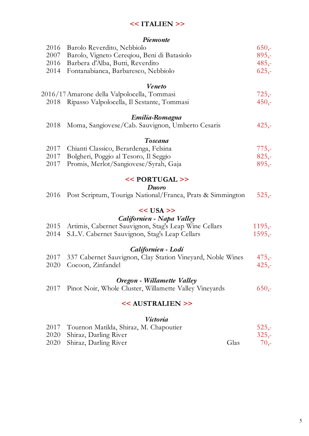# **<< ITALIEN >>**

#### *Piemonte*

| 2016 | Barolo Reverdito, Nebbiolo                                 | $650,-$  |
|------|------------------------------------------------------------|----------|
| 2007 | Barolo, Vigneto Cereqiou, Beni di Batasiolo                | $895 -$  |
| 2016 | Barbera d'Alba, Butti, Reverdito                           | $485,-$  |
| 2014 | Fontanabianca, Barbaresco, Nebbiolo                        | $625,-$  |
|      | <b>Veneto</b>                                              |          |
|      | 2016/17 Amarone della Valpolocella, Tommasi                | $725,-$  |
|      | 2018 Ripasso Valpolocella, Il Sestante, Tommasi            | $450,-$  |
|      | Emilia-Romagna                                             |          |
| 2018 | Moma, Sangiovese/Cab. Sauvignon, Umberto Cesaris           | $425,-$  |
|      | <b>Toscana</b>                                             |          |
| 2017 | Chianti Classico, Berardenga, Felsina                      | $775,-$  |
| 2017 | Bolgheri, Poggio al Tesoro, Il Seggio                      | $825,-$  |
| 2017 | Promis, Merlot/Sangiovese/Syrah, Gaja                      | $895,-$  |
|      | << PORTUGAL >>                                             |          |
|      | Duoro                                                      |          |
| 2016 | Post Scriptum, Touriga National/Franca, Prats & Simmington | $525 -$  |
|      | $<<$ USA >>                                                |          |
|      | Californien - Napa Valley                                  |          |
| 2015 | Artimis, Cabernet Sauvignon, Stag's Leap Wine Cellars      | $1195,-$ |
| 2014 | S.L.V. Cabernet Sauvignon, Stag's Leap Cellars             | $1595 -$ |
|      |                                                            |          |
|      | Californien - Lodi                                         |          |
| 2017 | 337 Cabernet Sauvignon, Clay Station Vineyard, Noble Wines | $475,-$  |
| 2020 | Cocoon, Zinfandel                                          | $425 -$  |
|      | Oregon - Willamette Valley                                 |          |
| 2017 | Pinot Noir, Whole Cluster, Willamette Valley Vineyards     | $650 -$  |
|      | << AUSTRALIEN >>                                           |          |
|      | Victoria                                                   |          |
|      | 2017 Tournon Matilda, Shiraz, M. Chapoutier                | $525 -$  |

| 2017 Tournon Matilda, Shiraz, M. Chapoutier |      | $525 -$ |
|---------------------------------------------|------|---------|
| 2020 Shiraz, Darling River                  |      | $325 -$ |
| 2020 Shiraz, Darling River                  | Glas | $70 -$  |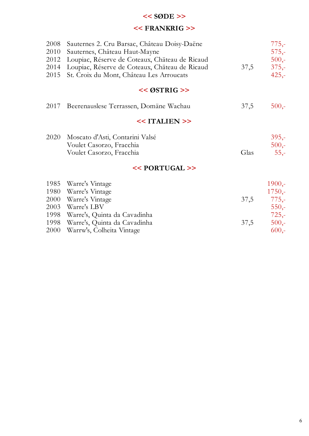# **<< SØDE >>**

# **<< FRANKRIG >>**

| 2008<br>2010<br>2012<br>2014<br>2015 | Sauternes 2. Cru Barsac, Château Doisy-Daëne<br>Sauternes, Château Haut-Mayne<br>Loupiac, Réserve de Coteaux, Chäteau de Ricaud<br>Loupiac, Réserve de Coteaux, Chäteau de Ricaud<br>St. Croix du Mont, Château Les Arroucats | 37,5 | $775,-$<br>$575,-$<br>$500,-$<br>$375,-$<br>$425,-$   |
|--------------------------------------|-------------------------------------------------------------------------------------------------------------------------------------------------------------------------------------------------------------------------------|------|-------------------------------------------------------|
|                                      | $<<$ ØSTRIG >>                                                                                                                                                                                                                |      |                                                       |
| 2017                                 | Beerenauslese Terrassen, Domäne Wachau                                                                                                                                                                                        | 37,5 | $500,-$                                               |
|                                      | $<<$ ITALIEN $>>$                                                                                                                                                                                                             |      |                                                       |
| 2020                                 | Moscato d'Asti, Contarini Valsé<br>Voulet Casorzo, Fracchia<br>Voulet Casorzo, Fracchia                                                                                                                                       | Glas | $395,-$<br>$500,-$<br>$55,-$                          |
|                                      | $<<$ PORTUGAL $>>$                                                                                                                                                                                                            |      |                                                       |
| 1985<br>1980<br>2000<br>2003<br>1998 | Warre's Vintage<br>Warre's Vintage<br>Warre's Vintage<br>Warre's LBV<br>Warre's, Quinta da Cavadinha                                                                                                                          | 37,5 | $1900,-$<br>$1750,-$<br>$775,-$<br>$550,-$<br>$725,-$ |
| 1998                                 | Warre's, Quinta da Cavadinha                                                                                                                                                                                                  | 37,5 | $500,-$                                               |

2000 Warrw's, Colheita Vintage 600,-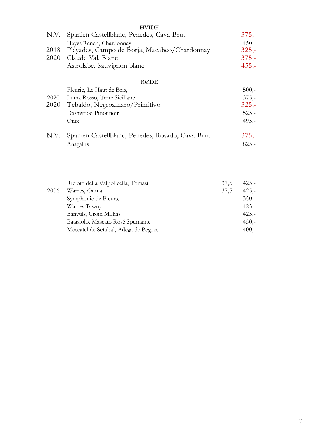|      | <b>HVIDE</b>                                     |         |
|------|--------------------------------------------------|---------|
| N.V. | Spanien Castellblanc, Penedes, Cava Brut         | $375 -$ |
|      | Hayes Ranch, Chardonnay                          | $450,-$ |
| 2018 | Pléyades, Campo de Borja, Macabeo/Chardonnay     | $325 -$ |
|      | 2020 Claude Val, Blanc                           | $375 -$ |
|      | Astrolabe, Sauvignon blanc                       | $455,-$ |
|      | RØDE                                             |         |
|      | Fleurie, Le Haut de Bois,                        | $500,-$ |
| 2020 | Luma Rosso, Terre Siciliane                      | $375,-$ |
| 2020 | Tebaldo, Negroamaro/Primitivo                    | $325 -$ |
|      | Dashwood Pinot noir                              | $525,-$ |
|      | Onix                                             | $495,-$ |
| N:V: | Spanien Castellblanc, Penedes, Rosado, Cava Brut | $375 -$ |
|      | Anagallis                                        | $825,-$ |
|      |                                                  |         |
|      |                                                  |         |

|      | Ricioto della Valpolicella, Tomasi   | 37,5 | $425 -$ |
|------|--------------------------------------|------|---------|
| 2006 | Warres, Otima                        | 37,5 | $425 -$ |
|      | Symphonie de Fleurs,                 |      | $350,-$ |
|      | Warres Tawny                         |      | $425 -$ |
|      | Banyuls, Croix Milhas                |      | $425 -$ |
|      | Batasiolo, Mascato Rosé Spumante     |      | $450,-$ |
|      | Moscatel de Setubal, Adega de Pegoes |      | $400 -$ |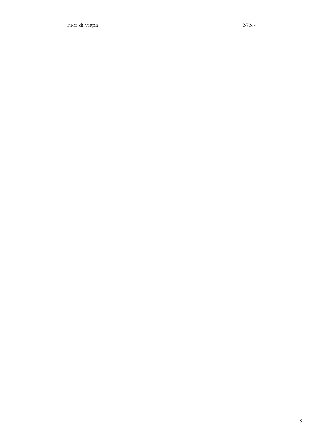Fior di vigna 375,-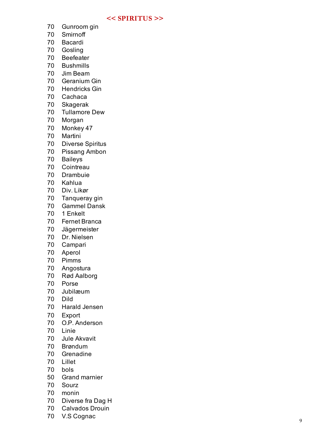#### **<< SPIRITUS >>**

- Gunroom gin
- Smirnoff
- Bacardi
- Gosling
- Beefeater
- Bushmills
- Jim Beam
- Geranium Gin
- Hendricks Gin
- Cachaca
- Skagerak
- Tullamore Dew
- Morgan
- Monkey 47
- Martini
- Diverse Spiritus
- Pissang Ambon
- Baileys
- Cointreau
- Drambuie
- Kahlua
- Div. Likør
- Tanqueray gin
- Gammel Dansk
- 1 Enkelt
- Fernet Branca
- Jägermeister
- Dr. Nielsen
- Campari
- Aperol
- Pimms
- Angostura
- Rød Aalborg
- Porse
- Jubilæum
- Dild
- Harald Jensen
- Export
- O.P. Anderson
- Linie
- Jule Akvavit
- Brøndum
- Grenadine
- Lillet
- bols
- Grand marnier
- Sourz
- monin
- Diverse fra Dag H
- Calvados Drouin
- V.S Cognac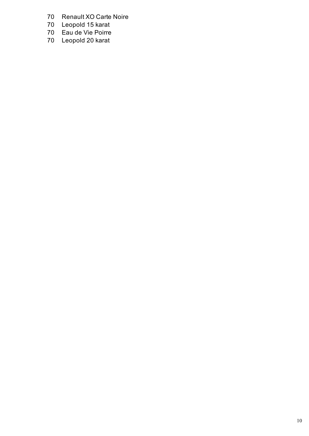- 70 Renault XO Carte Noire<br>70 Leopold 15 karat
- 
- 70 Leopold 15 karat<br>70 Eau de Vie Poirre Eau de Vie Poirre
- 70 Leopold 20 karat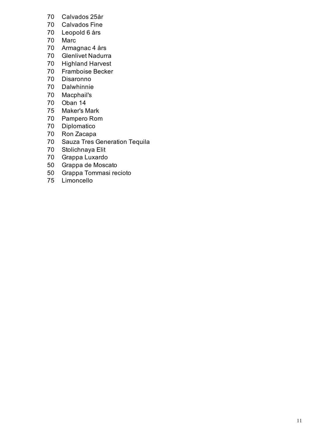- Calvados 25år
- Calvados Fine
- Leopold 6 års
- Marc
- Armagnac 4 års
- Glenlivet Nadurra
- Highland Harvest
- Framboise Becker
- Disaronno
- Dalwhinnie
- Macphail's
- Oban 14
- Maker's Mark
- Pampero Rom
- Diplomatico
- Ron Zacapa
- Sauza Tres Generation Tequila
- Stolichnaya Elit
- Grappa Luxardo
- Grappa de Moscato
- Grappa Tommasi recioto
- Limoncello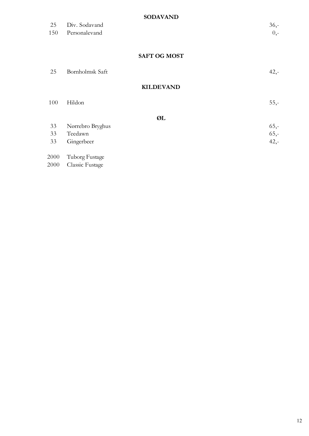#### **SODAVAND**

|      | --------            |         |
|------|---------------------|---------|
| 25   | Div. Sodavand       | $36, -$ |
| 150  | Personalevand       | $0, -$  |
|      |                     |         |
|      | <b>SAFT OG MOST</b> |         |
|      |                     |         |
| 25   | Bornholmsk Saft     | $42, -$ |
|      |                     |         |
|      | <b>KILDEVAND</b>    |         |
| 100  | Hildon              | $55, -$ |
|      |                     |         |
|      | ØL                  |         |
| 33   | Nørrebro Bryghus    | $65, -$ |
| 33   | Teedawn             | $65, -$ |
| 33   | Gingerbeer          | $42, -$ |
| 2000 | Tuborg Fustage      |         |
| 2000 | Classic Fustage     |         |
|      |                     |         |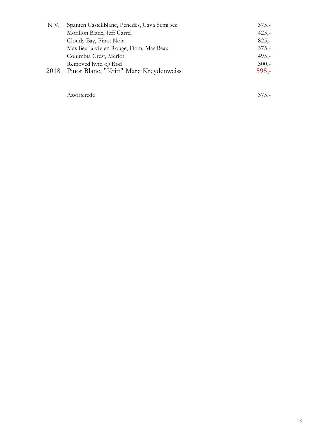| N.V. | Spanien Castellblanc, Penedes, Cava Semi sec | $375,-$ |
|------|----------------------------------------------|---------|
|      | Morillon Blanc, Jeff Carrel                  | $425,-$ |
|      | Cloudy Bay, Pinot Noir                       | $825 -$ |
|      | Mas Beu la vie en Rouge, Dom. Mas Beau       | $375,-$ |
|      | Columbia Crest, Merlot                       | $495 -$ |
|      | Removed hvid og Rød                          | $300,-$ |
|      | 2018 Pinot Blanc, "Kritt" Marc Kreydenweiss  | $595 -$ |
|      |                                              |         |

Assorterede 375,-